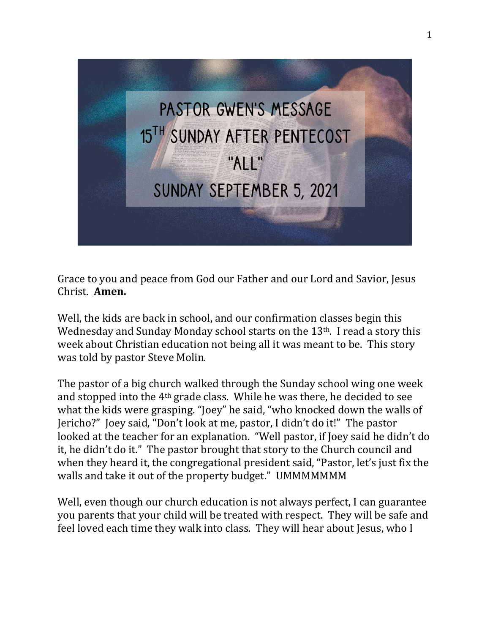

Grace to you and peace from God our Father and our Lord and Savior, Jesus Christ. **Amen.**

Well, the kids are back in school, and our confirmation classes begin this Wednesday and Sunday Monday school starts on the 13<sup>th</sup>. I read a story this week about Christian education not being all it was meant to be. This story was told by pastor Steve Molin.

The pastor of a big church walked through the Sunday school wing one week and stopped into the 4th grade class. While he was there, he decided to see what the kids were grasping. "Joey" he said, "who knocked down the walls of Jericho?" Joey said, "Don't look at me, pastor, I didn't do it!" The pastor looked at the teacher for an explanation. "Well pastor, if Joey said he didn't do it, he didn't do it." The pastor brought that story to the Church council and when they heard it, the congregational president said, "Pastor, let's just fix the walls and take it out of the property budget." UMMMMMMM

Well, even though our church education is not always perfect, I can guarantee you parents that your child will be treated with respect. They will be safe and feel loved each time they walk into class. They will hear about Jesus, who I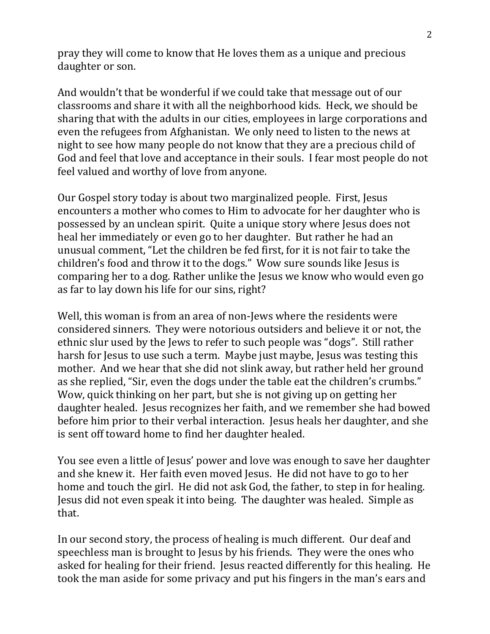pray they will come to know that He loves them as a unique and precious daughter or son.

And wouldn't that be wonderful if we could take that message out of our classrooms and share it with all the neighborhood kids. Heck, we should be sharing that with the adults in our cities, employees in large corporations and even the refugees from Afghanistan. We only need to listen to the news at night to see how many people do not know that they are a precious child of God and feel that love and acceptance in their souls. I fear most people do not feel valued and worthy of love from anyone.

Our Gospel story today is about two marginalized people. First, Jesus encounters a mother who comes to Him to advocate for her daughter who is possessed by an unclean spirit. Quite a unique story where Jesus does not heal her immediately or even go to her daughter. But rather he had an unusual comment, "Let the children be fed first, for it is not fair to take the children's food and throw it to the dogs." Wow sure sounds like Jesus is comparing her to a dog. Rather unlike the Jesus we know who would even go as far to lay down his life for our sins, right?

Well, this woman is from an area of non-Jews where the residents were considered sinners. They were notorious outsiders and believe it or not, the ethnic slur used by the Jews to refer to such people was "dogs". Still rather harsh for Jesus to use such a term. Maybe just maybe, Jesus was testing this mother. And we hear that she did not slink away, but rather held her ground as she replied, "Sir, even the dogs under the table eat the children's crumbs." Wow, quick thinking on her part, but she is not giving up on getting her daughter healed. Jesus recognizes her faith, and we remember she had bowed before him prior to their verbal interaction. Jesus heals her daughter, and she is sent off toward home to find her daughter healed.

You see even a little of Jesus' power and love was enough to save her daughter and she knew it. Her faith even moved Jesus. He did not have to go to her home and touch the girl. He did not ask God, the father, to step in for healing. Jesus did not even speak it into being. The daughter was healed. Simple as that.

In our second story, the process of healing is much different. Our deaf and speechless man is brought to Jesus by his friends. They were the ones who asked for healing for their friend. Jesus reacted differently for this healing. He took the man aside for some privacy and put his fingers in the man's ears and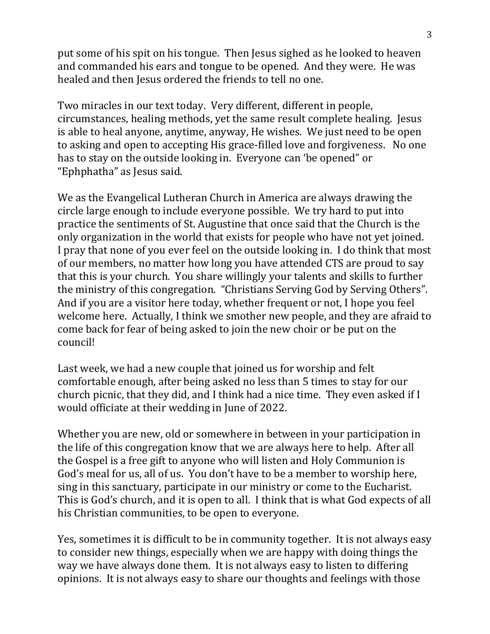put some of his spit on his tongue. Then Jesus sighed as he looked to heaven and commanded his ears and tongue to be opened. And they were. He was healed and then Jesus ordered the friends to tell no one.

Two miracles in our text today. Very different, different in people, circumstances, healing methods, yet the same result complete healing. Jesus is able to heal anyone, anytime, anyway, He wishes. We just need to be open to asking and open to accepting His grace-filled love and forgiveness. No one has to stay on the outside looking in. Everyone can 'be opened" or "Ephphatha" as Jesus said.

We as the Evangelical Lutheran Church in America are always drawing the circle large enough to include everyone possible. We try hard to put into practice the sentiments of St. Augustine that once said that the Church is the only organization in the world that exists for people who have not yet joined. I pray that none of you ever feel on the outside looking in. I do think that most of our members, no matter how long you have attended CTS are proud to say that this is your church. You share willingly your talents and skills to further the ministry of this congregation. "Christians Serving God by Serving Others". And if you are a visitor here today, whether frequent or not, I hope you feel welcome here. Actually, I think we smother new people, and they are afraid to come back for fear of being asked to join the new choir or be put on the council!

Last week, we had a new couple that joined us for worship and felt comfortable enough, after being asked no less than 5 times to stay for our church picnic, that they did, and I think had a nice time. They even asked if I would officiate at their wedding in June of 2022.

Whether you are new, old or somewhere in between in your participation in the life of this congregation know that we are always here to help. After all the Gospel is a free gift to anyone who will listen and Holy Communion is God's meal for us, all of us. You don't have to be a member to worship here, sing in this sanctuary, participate in our ministry or come to the Eucharist. This is God's church, and it is open to all. I think that is what God expects of all his Christian communities, to be open to everyone.

Yes, sometimes it is difficult to be in community together. It is not always easy to consider new things, especially when we are happy with doing things the way we have always done them. It is not always easy to listen to differing opinions. It is not always easy to share our thoughts and feelings with those